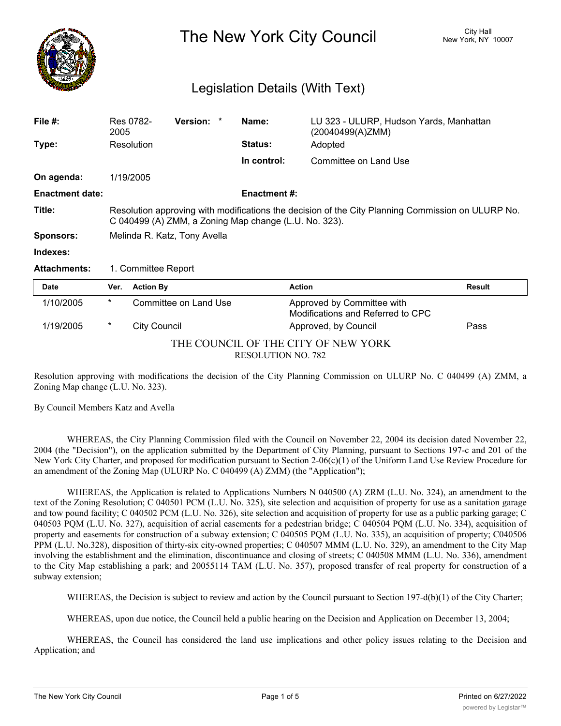

The New York City Council New York, NY 10007

# Legislation Details (With Text)

| File $#$ :                                                       | 2005                                                                                                                                                       | Res 0782-           | Version: *            |  | Name:               | LU 323 - ULURP, Hudson Yards, Manhattan<br>(20040499(A)ZMM)     |               |
|------------------------------------------------------------------|------------------------------------------------------------------------------------------------------------------------------------------------------------|---------------------|-----------------------|--|---------------------|-----------------------------------------------------------------|---------------|
| Type:                                                            |                                                                                                                                                            | Resolution          |                       |  | Status:             | Adopted                                                         |               |
|                                                                  |                                                                                                                                                            |                     |                       |  | In control:         | Committee on Land Use                                           |               |
| On agenda:                                                       |                                                                                                                                                            | 1/19/2005           |                       |  |                     |                                                                 |               |
| <b>Enactment date:</b>                                           |                                                                                                                                                            |                     |                       |  | <b>Enactment #:</b> |                                                                 |               |
| Title:                                                           | Resolution approving with modifications the decision of the City Planning Commission on ULURP No.<br>C 040499 (A) ZMM, a Zoning Map change (L.U. No. 323). |                     |                       |  |                     |                                                                 |               |
| <b>Sponsors:</b>                                                 | Melinda R. Katz, Tony Avella                                                                                                                               |                     |                       |  |                     |                                                                 |               |
| Indexes:                                                         |                                                                                                                                                            |                     |                       |  |                     |                                                                 |               |
| <b>Attachments:</b>                                              | 1. Committee Report                                                                                                                                        |                     |                       |  |                     |                                                                 |               |
| Date                                                             | Ver.                                                                                                                                                       | <b>Action By</b>    |                       |  | <b>Action</b>       |                                                                 | <b>Result</b> |
| 1/10/2005                                                        | $^\star$                                                                                                                                                   |                     | Committee on Land Use |  |                     | Approved by Committee with<br>Modifications and Referred to CPC |               |
| 1/19/2005                                                        | $^\ast$                                                                                                                                                    | <b>City Council</b> |                       |  |                     | Approved, by Council                                            | Pass          |
| THE COUNCIL OF THE CITY OF NEW YORK<br><b>RESOLUTION NO. 782</b> |                                                                                                                                                            |                     |                       |  |                     |                                                                 |               |

Resolution approving with modifications the decision of the City Planning Commission on ULURP No. C 040499 (A) ZMM, a Zoning Map change (L.U. No. 323).

By Council Members Katz and Avella

WHEREAS, the City Planning Commission filed with the Council on November 22, 2004 its decision dated November 22, 2004 (the "Decision"), on the application submitted by the Department of City Planning, pursuant to Sections 197-c and 201 of the New York City Charter, and proposed for modification pursuant to Section 2-06(c)(1) of the Uniform Land Use Review Procedure for an amendment of the Zoning Map (ULURP No. C 040499 (A) ZMM) (the "Application");

WHEREAS, the Application is related to Applications Numbers N 040500 (A) ZRM (L.U. No. 324), an amendment to the text of the Zoning Resolution; C 040501 PCM (L.U. No. 325), site selection and acquisition of property for use as a sanitation garage and tow pound facility; C 040502 PCM (L.U. No. 326), site selection and acquisition of property for use as a public parking garage; C 040503 PQM (L.U. No. 327), acquisition of aerial easements for a pedestrian bridge; C 040504 PQM (L.U. No. 334), acquisition of property and easements for construction of a subway extension; C 040505 PQM (L.U. No. 335), an acquisition of property; C040506 PPM (L.U. No.328), disposition of thirty-six city-owned properties; C 040507 MMM (L.U. No. 329), an amendment to the City Map involving the establishment and the elimination, discontinuance and closing of streets; C 040508 MMM (L.U. No. 336), amendment to the City Map establishing a park; and 20055114 TAM (L.U. No. 357), proposed transfer of real property for construction of a subway extension;

WHEREAS, the Decision is subject to review and action by the Council pursuant to Section 197-d(b)(1) of the City Charter;

WHEREAS, upon due notice, the Council held a public hearing on the Decision and Application on December 13, 2004;

WHEREAS, the Council has considered the land use implications and other policy issues relating to the Decision and Application; and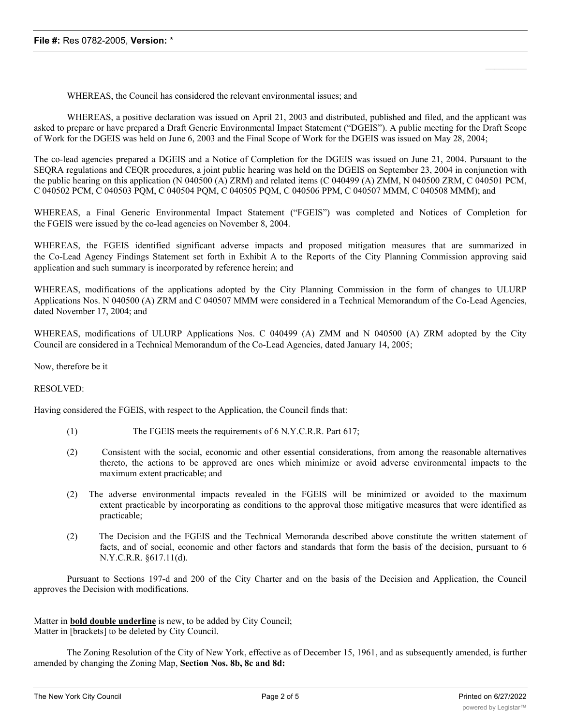WHEREAS, the Council has considered the relevant environmental issues; and

WHEREAS, a positive declaration was issued on April 21, 2003 and distributed, published and filed, and the applicant was asked to prepare or have prepared a Draft Generic Environmental Impact Statement ("DGEIS"). A public meeting for the Draft Scope of Work for the DGEIS was held on June 6, 2003 and the Final Scope of Work for the DGEIS was issued on May 28, 2004;

The co-lead agencies prepared a DGEIS and a Notice of Completion for the DGEIS was issued on June 21, 2004. Pursuant to the SEQRA regulations and CEQR procedures, a joint public hearing was held on the DGEIS on September 23, 2004 in conjunction with the public hearing on this application (N 040500 (A) ZRM) and related items (C 040499 (A) ZMM, N 040500 ZRM, C 040501 PCM, C 040502 PCM, C 040503 PQM, C 040504 PQM, C 040505 PQM, C 040506 PPM, C 040507 MMM, C 040508 MMM); and

WHEREAS, a Final Generic Environmental Impact Statement ("FGEIS") was completed and Notices of Completion for the FGEIS were issued by the co-lead agencies on November 8, 2004.

WHEREAS, the FGEIS identified significant adverse impacts and proposed mitigation measures that are summarized in the Co-Lead Agency Findings Statement set forth in Exhibit A to the Reports of the City Planning Commission approving said application and such summary is incorporated by reference herein; and

WHEREAS, modifications of the applications adopted by the City Planning Commission in the form of changes to ULURP Applications Nos. N 040500 (A) ZRM and C 040507 MMM were considered in a Technical Memorandum of the Co-Lead Agencies, dated November 17, 2004; and

WHEREAS, modifications of ULURP Applications Nos. C 040499 (A) ZMM and N 040500 (A) ZRM adopted by the City Council are considered in a Technical Memorandum of the Co-Lead Agencies, dated January 14, 2005;

Now, therefore be it

### RESOLVED:

Having considered the FGEIS, with respect to the Application, the Council finds that:

- (1) The FGEIS meets the requirements of 6 N.Y.C.R.R. Part 617;
- (2) Consistent with the social, economic and other essential considerations, from among the reasonable alternatives thereto, the actions to be approved are ones which minimize or avoid adverse environmental impacts to the maximum extent practicable; and
- (2) The adverse environmental impacts revealed in the FGEIS will be minimized or avoided to the maximum extent practicable by incorporating as conditions to the approval those mitigative measures that were identified as practicable;
- (2) The Decision and the FGEIS and the Technical Memoranda described above constitute the written statement of facts, and of social, economic and other factors and standards that form the basis of the decision, pursuant to 6 N.Y.C.R.R. §617.11(d).

Pursuant to Sections 197-d and 200 of the City Charter and on the basis of the Decision and Application, the Council approves the Decision with modifications.

Matter in **bold double underline** is new, to be added by City Council; Matter in [brackets] to be deleted by City Council.

The Zoning Resolution of the City of New York, effective as of December 15, 1961, and as subsequently amended, is further amended by changing the Zoning Map, **Section Nos. 8b, 8c and 8d:**

 $\mathcal{L}_\text{max}$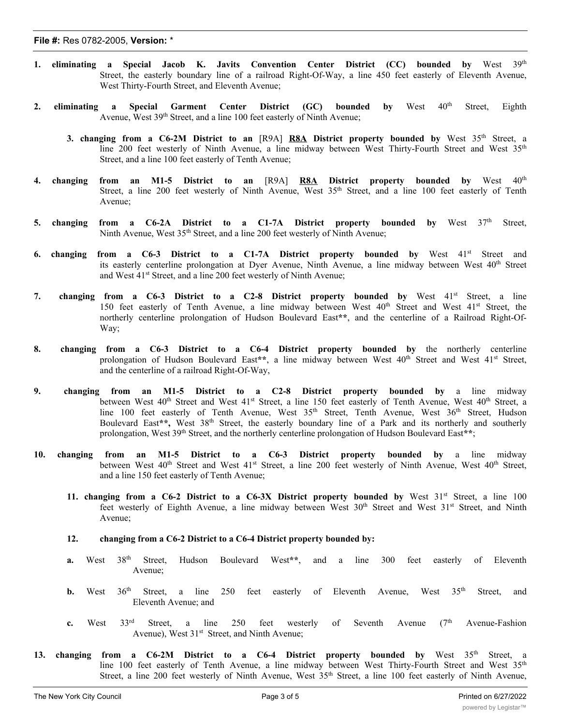- **1. eliminating a Special Jacob K. Javits Convention Center District (CC) bounded by** West 39th Street, the easterly boundary line of a railroad Right-Of-Way, a line 450 feet easterly of Eleventh Avenue, West Thirty-Fourth Street, and Eleventh Avenue;
- **2. eliminating a Special Garment Center District (GC) bounded by** West 40th Street, Eighth Avenue, West 39<sup>th</sup> Street, and a line 100 feet easterly of Ninth Avenue;
	- **3. changing from a C6-2M District to an** [R9A] **R8A District property bounded by** West 35th Street, a line 200 feet westerly of Ninth Avenue, a line midway between West Thirty-Fourth Street and West 35<sup>th</sup> Street, and a line 100 feet easterly of Tenth Avenue;
- **4. changing from an M1-5 District to an** [R9A] **R8A District property bounded by** West 40th Street, a line 200 feet westerly of Ninth Avenue, West 35<sup>th</sup> Street, and a line 100 feet easterly of Tenth Avenue;
- **5. changing from a C6-2A District to a C1-7A District property bounded by** West 37th Street, Ninth Avenue, West 35<sup>th</sup> Street, and a line 200 feet westerly of Ninth Avenue;
- **6. changing from a C6-3 District to a C1-7A District property bounded by** West 41st Street and its easterly centerline prolongation at Dyer Avenue, Ninth Avenue, a line midway between West 40<sup>th</sup> Street and West 41<sup>st</sup> Street, and a line 200 feet westerly of Ninth Avenue;
- **7. changing from a C6-3 District to a C2-8 District property bounded by** West 41st Street, a line 150 feet easterly of Tenth Avenue, a line midway between West 40<sup>th</sup> Street and West 41<sup>st</sup> Street, the northerly centerline prolongation of Hudson Boulevard East**\*\***, and the centerline of a Railroad Right-Of-Way;
- **8. changing from a C6-3 District to a C6-4 District property bounded by** the northerly centerline prolongation of Hudson Boulevard East\*\*, a line midway between West 40<sup>th</sup> Street and West 41<sup>st</sup> Street, and the centerline of a railroad Right-Of-Way,
- **9. changing from an M1-5 District to a C2-8 District property bounded by** a line midway between West 40<sup>th</sup> Street and West 41<sup>st</sup> Street, a line 150 feet easterly of Tenth Avenue, West 40<sup>th</sup> Street, a line 100 feet easterly of Tenth Avenue, West 35<sup>th</sup> Street, Tenth Avenue, West 36<sup>th</sup> Street, Hudson Boulevard East**\*\*,** West 38th Street, the easterly boundary line of a Park and its northerly and southerly prolongation, West 39<sup>th</sup> Street, and the northerly centerline prolongation of Hudson Boulevard East\*\*;
- **10. changing from an M1-5 District to a C6-3 District property bounded by** a line midway between West 40<sup>th</sup> Street and West 41<sup>st</sup> Street, a line 200 feet westerly of Ninth Avenue, West 40<sup>th</sup> Street, and a line 150 feet easterly of Tenth Avenue;
	- **11. changing from a C6-2 District to a C6-3X District property bounded by** West 31st Street, a line 100 feet westerly of Eighth Avenue, a line midway between West 30<sup>th</sup> Street and West 31<sup>st</sup> Street, and Ninth Avenue;
	- **12. changing from a C6-2 District to a C6-4 District property bounded by:**
	- **a.** West 38th Street, Hudson Boulevard West**\*\***, and a line 300 feet easterly of Eleventh Avenue;
	- **b.** West 36<sup>th</sup> Street, a line 250 feet easterly of Eleventh Avenue, West 35<sup>th</sup> Street, and Eleventh Avenue; and
	- **c.** West  $33<sup>rd</sup>$  Street, a line 250 feet westerly of Seventh Avenue ( $7<sup>th</sup>$  Avenue-Fashion Avenue), West 31<sup>st</sup> Street, and Ninth Avenue;
- **13. changing from a C6-2M District to a C6-4 District property bounded by** West 35th Street, a line 100 feet easterly of Tenth Avenue, a line midway between West Thirty-Fourth Street and West 35<sup>th</sup> Street, a line 200 feet westerly of Ninth Avenue, West 35<sup>th</sup> Street, a line 100 feet easterly of Ninth Avenue, rd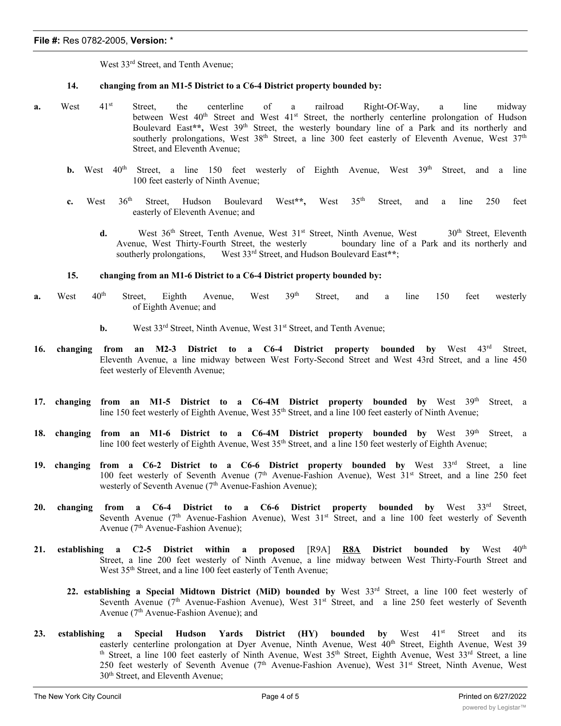West 33<sup>rd</sup> Street, and Tenth Avenue;

## **14. changing from an M1-5 District to a C6-4 District property bounded by:**

- **a.** West 41<sup>st</sup> Street, the centerline of a railroad Right-Of-Way, a line midway between West  $40^{th}$  Street and West  $41^{st}$  Street, the northerly centerline prolongation of Hudson Boulevard East\*\*, West 39<sup>th</sup> Street, the westerly boundary line of a Park and its northerly and southerly prolongations, West 38<sup>th</sup> Street, a line 300 feet easterly of Eleventh Avenue, West 37<sup>th</sup> Street, and Eleventh Avenue;
	- **b.** West  $40^{\text{th}}$  Street, a line 150 feet westerly of Eighth Avenue, West  $39^{\text{th}}$  Street, and a line 100 feet easterly of Ninth Avenue;
	- **c.** West 36th Street, Hudson Boulevard West**\*\*,** West 35th Street, and a line 250 feet easterly of Eleventh Avenue; and
		- **d.** West 36<sup>th</sup> Street, Tenth Avenue, West 31<sup>st</sup> Street, Ninth Avenue, West 30<sup>th</sup> Street, Eleventh Avenue, West Thirty-Fourth Street, the westerly boundary line of a Park and its northerly and southerly prolongations, West 33<sup>rd</sup> Street, and Hudson Boulevard East\*\*:

### **15. changing from an M1-6 District to a C6-4 District property bounded by:**

- **a.** West 40<sup>th</sup> Street, Eighth Avenue, West 39<sup>th</sup> Street, and a line 150 feet westerly of Eighth Avenue; and
	- **b.** West 33<sup>rd</sup> Street, Ninth Avenue, West 31<sup>st</sup> Street, and Tenth Avenue;
- **16. changing from an M2-3 District to a C6-4 District property bounded by** West 43rd Street, Eleventh Avenue, a line midway between West Forty-Second Street and West 43rd Street, and a line 450 feet westerly of Eleventh Avenue;
- **17. changing from an M1-5 District to a C6-4M District property bounded by** West 39th Street, a line 150 feet westerly of Eighth Avenue, West 35<sup>th</sup> Street, and a line 100 feet easterly of Ninth Avenue;
- **18. changing from an M1-6 District to a C6-4M District property bounded by** West 39th Street, a line 100 feet westerly of Eighth Avenue, West 35<sup>th</sup> Street, and a line 150 feet westerly of Eighth Avenue;
- **19. changing from a C6-2 District to a C6-6 District property bounded by** West 33rd Street, a line 100 feet westerly of Seventh Avenue (7th Avenue-Fashion Avenue), West 31st Street, and a line 250 feet westerly of Seventh Avenue (7<sup>th</sup> Avenue-Fashion Avenue);
- **20. changing from a C6-4 District to a C6-6 District property bounded by** West 33rd Street, Seventh Avenue (7<sup>th</sup> Avenue-Fashion Avenue), West 31<sup>st</sup> Street, and a line 100 feet westerly of Seventh Avenue ( $7<sup>th</sup>$  Avenue-Fashion Avenue);
- **21. establishing a C2-5 District within a proposed** [R9A] **R8A District bounded by** West 40th Street, a line 200 feet westerly of Ninth Avenue, a line midway between West Thirty-Fourth Street and West 35<sup>th</sup> Street, and a line 100 feet easterly of Tenth Avenue;
	- **22. establishing a Special Midtown District (MiD) bounded by** West 33rd Street, a line 100 feet westerly of Seventh Avenue (7<sup>th</sup> Avenue-Fashion Avenue), West 31<sup>st</sup> Street, and a line 250 feet westerly of Seventh Avenue (7<sup>th</sup> Avenue-Fashion Avenue); and
- **23. establishing a Special Hudson Yards District (HY) bounded by** West 41st Street and its easterly centerline prolongation at Dyer Avenue, Ninth Avenue, West 40<sup>th</sup> Street, Eighth Avenue, West 39 th Street, a line 100 feet easterly of Ninth Avenue, West 35<sup>th</sup> Street, Eighth Avenue, West 33<sup>rd</sup> Street, a line 250 feet westerly of Seventh Avenue (7th Avenue-Fashion Avenue), West 31st Street, Ninth Avenue, West 30<sup>th</sup> Street, and Eleventh Avenue;